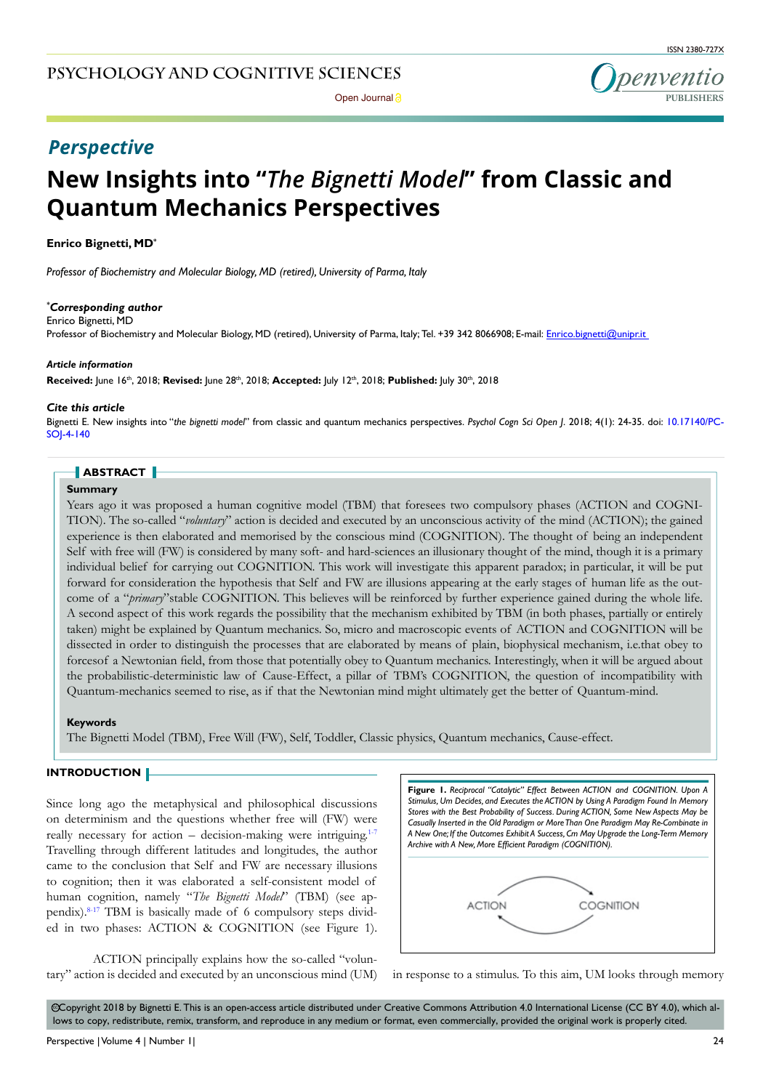

Open Journal<sup>2</sup>

# *Perspective*

# **New Insights into "***The Bignetti Model***" from Classic and Quantum Mechanics Perspectives**

#### **Enrico Bignetti, MD\***

*Professor of Biochemistry and Molecular Biology, MD (retired), University of Parma, Italy*

#### *\* Corresponding author*

Enrico Bignetti, MD

Professor of Biochemistry and Molecular Biology, MD (retired), University of Parma, Italy; Tel. +39 342 8066908; E-mail: Enrico.bignetti@unipr.it

#### *Article information*

**Received:** June 16th, 2018; **Revised:** June 28th, 2018; **Accepted:** July 12th, 2018; **Published:** July 30th, 2018

#### *Cite this article*

Bignetti E. New insights into "*the bignetti model*" from classic and quantum mechanics perspectives. *Psychol Cogn Sci Open J*. 2018; 4(1): 24-35. doi: [10.17140/PC-](https://www.doi.org/10.17140/PCSOJ-4-140)[SOJ-4-1](https://www.doi.org/10.17140/PCSOJ-4-140)40

# **ABSTRACT**

#### **Summary**

Years ago it was proposed a human cognitive model (TBM) that foresees two compulsory phases (ACTION and COGNI-TION). The so-called "*voluntary*" action is decided and executed by an unconscious activity of the mind (ACTION); the gained experience is then elaborated and memorised by the conscious mind (COGNITION). The thought of being an independent Self with free will (FW) is considered by many soft- and hard-sciences an illusionary thought of the mind, though it is a primary individual belief for carrying out COGNITION. This work will investigate this apparent paradox; in particular, it will be put forward for consideration the hypothesis that Self and FW are illusions appearing at the early stages of human life as the outcome of a "*primary*"stable COGNITION. This believes will be reinforced by further experience gained during the whole life. A second aspect of this work regards the possibility that the mechanism exhibited by TBM (in both phases, partially or entirely taken) might be explained by Quantum mechanics. So, micro and macroscopic events of ACTION and COGNITION will be dissected in order to distinguish the processes that are elaborated by means of plain, biophysical mechanism, i.e.that obey to forcesof a Newtonian field, from those that potentially obey to Quantum mechanics. Interestingly, when it will be argued about the probabilistic-deterministic law of Cause-Effect, a pillar of TBM's COGNITION, the question of incompatibility with Quantum-mechanics seemed to rise, as if that the Newtonian mind might ultimately get the better of Quantum-mind.

#### **Keywords**

The Bignetti Model (TBM), Free Will (FW), Self, Toddler, Classic physics, Quantum mechanics, Cause-effect.

#### **INTRODUCTION**

Since long ago the metaphysical and philosophical discussions on determinism and the questions whether free will (FW) were really necessary for action – decision-making were intriguing. $1-7$ Travelling through different latitudes and longitudes, the author came to the conclusion that Self and FW are necessary illusions to cognition; then it was elaborated a self-consistent model of human cognition, namely "*The Bignetti Model*" (TBM) (see appendix).<sup>8-17</sup> TBM is basically made of 6 compulsory steps divided in two phases: ACTION & COGNITION (see Figure 1).

ACTION principally explains how the so-called "voluntary" action is decided and executed by an unconscious mind (UM) in response to a stimulus. To this aim, UM looks through memory

| <b>Figure 1.</b> Reciprocal "Catalytic" Effect Between ACTION and COGNITION. Upon A<br>Stimulus, Um Decides, and Executes the ACTION by Using A Paradigm Found In Memory<br>Stores with the Best Probability of Success. During ACTION, Some New Aspects May be<br>Casually Inserted in the Old Paradigm or More Than One Paradigm May Re-Combinate in |           |
|--------------------------------------------------------------------------------------------------------------------------------------------------------------------------------------------------------------------------------------------------------------------------------------------------------------------------------------------------------|-----------|
| A New One; If the Outcomes Exhibit A Success, Cm May Upgrade the Long-Term Memory<br>Archive with A New, More Efficient Paradigm (COGNITION).                                                                                                                                                                                                          |           |
| ACTION                                                                                                                                                                                                                                                                                                                                                 | COGNITION |



 $\odot$ Copyright 2018 by Bignetti E. This is an open-access article distributed under Creative Commons Attribution 4.0 International License (CC BY 4.0), which allows to copy, redistribute, remix, transform, and reproduce in any medium or format, even commercially, provided the original work is properly cited.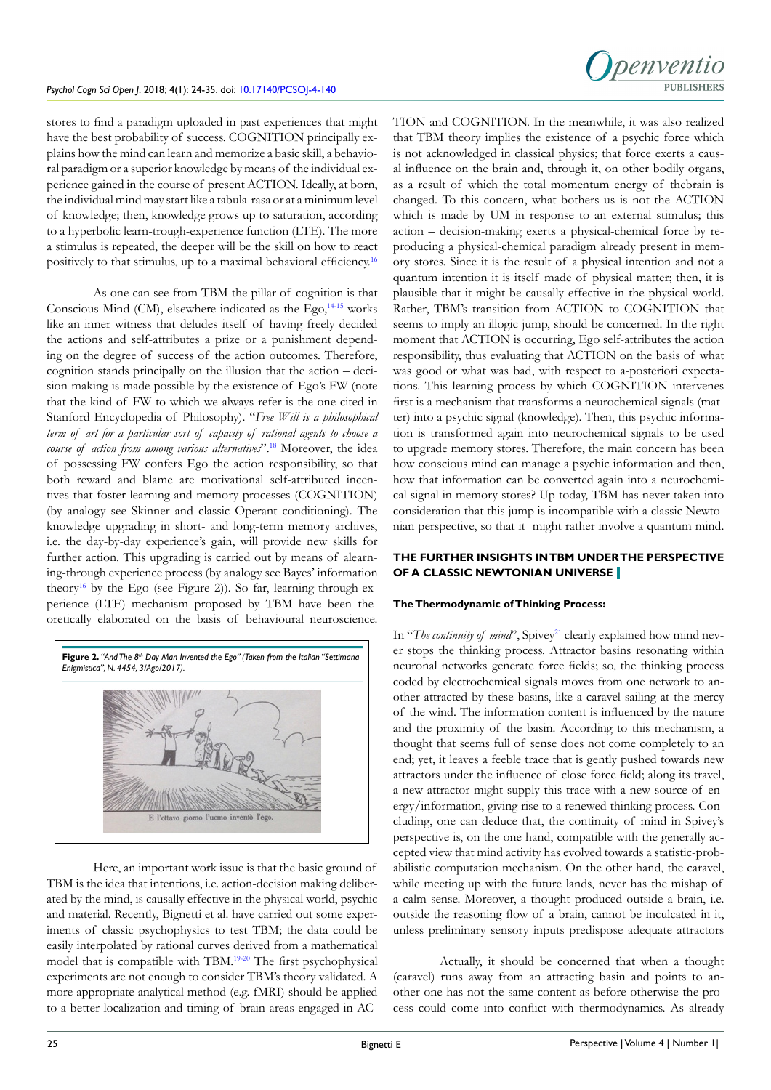

stores to find a paradigm uploaded in past experiences that might have the best probability of success. COGNITION principally explains how the mind can learn and memorize a basic skill, a behavioral paradigm or a superior knowledge by means of the individual experience gained in the course of present ACTION. Ideally, at born, the individual mind may start like a tabula-rasa or at a minimum level of knowledge; then, knowledge grows up to saturation, according to a hyperbolic learn-trough-experience function (LTE). The more a stimulus is repeated, the deeper will be the skill on how to react positively to that stimulus, up to a maximal behavioral efficiency.[16](#page-9-2)

As one can see from TBM the pillar of cognition is that Conscious Mind (CM), elsewhere indicated as the Ego, $14-15$  works like an inner witness that deludes itself of having freely decided the actions and self-attributes a prize or a punishment depending on the degree of success of the action outcomes. Therefore, cognition stands principally on the illusion that the action – decision-making is made possible by the existence of Ego's FW (note that the kind of FW to which we always refer is the one cited in Stanford Encyclopedia of Philosophy). "*Free Will is a philosophical term of art for a particular sort of capacity of rational agents to choose a course of action from among various alternatives*"[.18](#page-9-4) Moreover, the idea of possessing FW confers Ego the action responsibility, so that both reward and blame are motivational self-attributed incentives that foster learning and memory processes (COGNITION) (by analogy see Skinner and classic Operant conditioning). The knowledge upgrading in short- and long-term memory archives, i.e. the day-by-day experience's gain, will provide new skills for further action. This upgrading is carried out by means of alearning-through experience process (by analogy see Bayes' information theory<sup>16</sup> by the Ego (see Figure 2)). So far, learning-through-experience (LTE) mechanism proposed by TBM have been theoretically elaborated on the basis of behavioural neuroscience.



Here, an important work issue is that the basic ground of TBM is the idea that intentions, i.e. action-decision making deliberated by the mind, is causally effective in the physical world, psychic and material. Recently, Bignetti et al. have carried out some experiments of classic psychophysics to test TBM; the data could be easily interpolated by rational curves derived from a mathematical model that is compatible with TBM[.19-20](#page-9-5) The first psychophysical experiments are not enough to consider TBM's theory validated. A more appropriate analytical method (e.g. fMRI) should be applied to a better localization and timing of brain areas engaged in AC-

TION and COGNITION. In the meanwhile, it was also realized that TBM theory implies the existence of a psychic force which is not acknowledged in classical physics; that force exerts a causal influence on the brain and, through it, on other bodily organs, as a result of which the total momentum energy of thebrain is changed. To this concern, what bothers us is not the ACTION which is made by UM in response to an external stimulus; this action – decision-making exerts a physical-chemical force by reproducing a physical-chemical paradigm already present in memory stores. Since it is the result of a physical intention and not a quantum intention it is itself made of physical matter; then, it is plausible that it might be causally effective in the physical world. Rather, TBM's transition from ACTION to COGNITION that seems to imply an illogic jump, should be concerned. In the right moment that ACTION is occurring, Ego self-attributes the action responsibility, thus evaluating that ACTION on the basis of what was good or what was bad, with respect to a-posteriori expectations. This learning process by which COGNITION intervenes first is a mechanism that transforms a neurochemical signals (matter) into a psychic signal (knowledge). Then, this psychic information is transformed again into neurochemical signals to be used to upgrade memory stores. Therefore, the main concern has been how conscious mind can manage a psychic information and then, how that information can be converted again into a neurochemical signal in memory stores? Up today, TBM has never taken into consideration that this jump is incompatible with a classic Newtonian perspective, so that it might rather involve a quantum mind.

# **THE FURTHER INSIGHTS IN TBM UNDER THE PERSPECTIVE OF A CLASSIC NEWTONIAN UNIVERSE**

#### **The Thermodynamic of Thinking Process:**

In "*The continuity of mind*", Spivey<sup>21</sup> clearly explained how mind never stops the thinking process. Attractor basins resonating within neuronal networks generate force fields; so, the thinking process coded by electrochemical signals moves from one network to another attracted by these basins, like a caravel sailing at the mercy of the wind. The information content is influenced by the nature and the proximity of the basin. According to this mechanism, a thought that seems full of sense does not come completely to an end; yet, it leaves a feeble trace that is gently pushed towards new attractors under the influence of close force field; along its travel, a new attractor might supply this trace with a new source of energy/information, giving rise to a renewed thinking process. Concluding, one can deduce that, the continuity of mind in Spivey's perspective is, on the one hand, compatible with the generally accepted view that mind activity has evolved towards a statistic-probabilistic computation mechanism. On the other hand, the caravel, while meeting up with the future lands, never has the mishap of a calm sense. Moreover, a thought produced outside a brain, i.e. outside the reasoning flow of a brain, cannot be inculcated in it, unless preliminary sensory inputs predispose adequate attractors

Actually, it should be concerned that when a thought (caravel) runs away from an attracting basin and points to another one has not the same content as before otherwise the process could come into conflict with thermodynamics. As already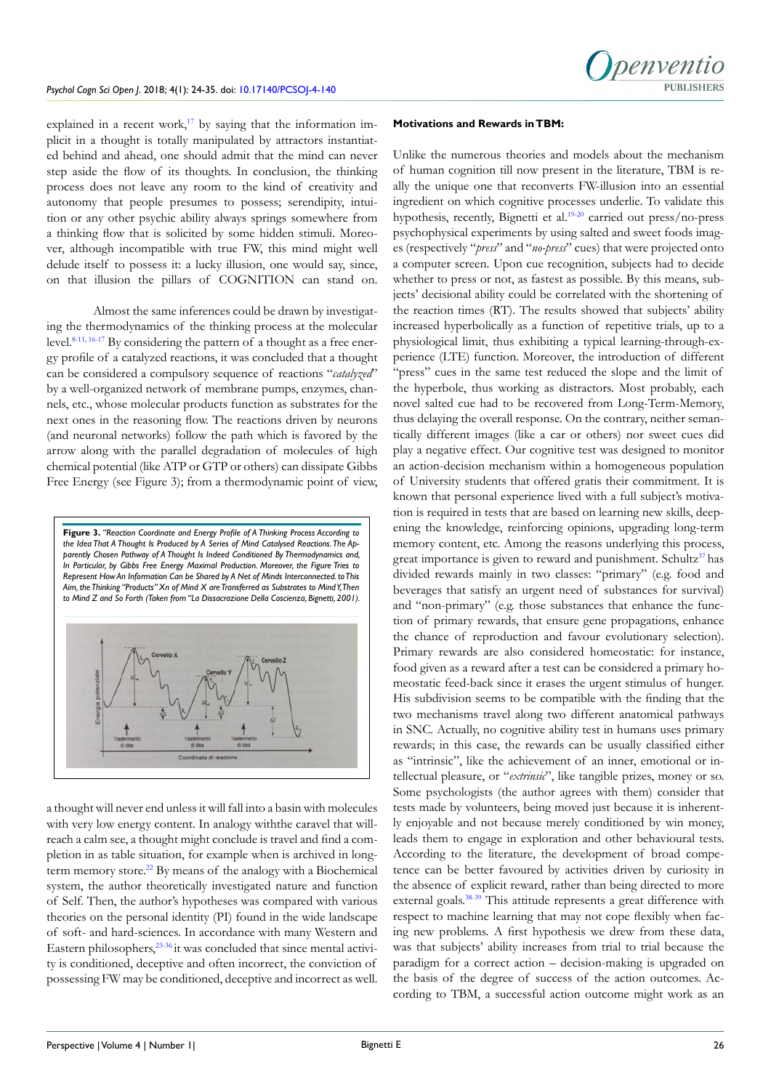explained in a recent work, $17$  by saying that the information implicit in a thought is totally manipulated by attractors instantiated behind and ahead, one should admit that the mind can never step aside the flow of its thoughts. In conclusion, the thinking process does not leave any room to the kind of creativity and autonomy that people presumes to possess; serendipity, intuition or any other psychic ability always springs somewhere from a thinking flow that is solicited by some hidden stimuli. Moreover, although incompatible with true FW, this mind might well delude itself to possess it: a lucky illusion, one would say, since, on that illusion the pillars of COGNITION can stand on.

Almost the same inferences could be drawn by investigating the thermodynamics of the thinking process at the molecular level.<sup>[8-11,](#page-9-1) 16-17</sup> By considering the pattern of a thought as a free energy profile of a catalyzed reactions, it was concluded that a thought can be considered a compulsory sequence of reactions "*catalyzed*" by a well-organized network of membrane pumps, enzymes, channels, etc., whose molecular products function as substrates for the next ones in the reasoning flow. The reactions driven by neurons (and neuronal networks) follow the path which is favored by the arrow along with the parallel degradation of molecules of high chemical potential (like ATP or GTP or others) can dissipate Gibbs Free Energy (see Figure 3); from a thermodynamic point of view,



a thought will never end unless it will fall into a basin with molecules with very low energy content. In analogy withthe caravel that willreach a calm see, a thought might conclude is travel and find a completion in as table situation, for example when is archived in long-term memory store.<sup>[22](#page-10-1)</sup> By means of the analogy with a Biochemical system, the author theoretically investigated nature and function of Self. Then, the author's hypotheses was compared with various theories on the personal identity (PI) found in the wide landscape of soft- and hard-sciences. In accordance with many Western and Eastern philosophers,<sup>23-36</sup> it was concluded that since mental activity is conditioned, deceptive and often incorrect, the conviction of possessing FW may be conditioned, deceptive and incorrect as well.

#### **Motivations and Rewards in TBM:**

Unlike the numerous theories and models about the mechanism of human cognition till now present in the literature, TBM is really the unique one that reconverts FW-illusion into an essential ingredient on which cognitive processes underlie. To validate this hypothesis, recently, Bignetti et al.<sup>19-20</sup> carried out press/no-press psychophysical experiments by using salted and sweet foods images (respectively "*press*" and "*no-press*" cues) that were projected onto a computer screen. Upon cue recognition, subjects had to decide whether to press or not, as fastest as possible. By this means, subjects' decisional ability could be correlated with the shortening of the reaction times (RT). The results showed that subjects' ability increased hyperbolically as a function of repetitive trials, up to a physiological limit, thus exhibiting a typical learning-through-experience (LTE) function. Moreover, the introduction of different "press" cues in the same test reduced the slope and the limit of the hyperbole, thus working as distractors. Most probably, each novel salted cue had to be recovered from Long-Term-Memory, thus delaying the overall response. On the contrary, neither semantically different images (like a car or others) nor sweet cues did play a negative effect. Our cognitive test was designed to monitor an action-decision mechanism within a homogeneous population of University students that offered gratis their commitment. It is known that personal experience lived with a full subject's motivation is required in tests that are based on learning new skills, deepening the knowledge, reinforcing opinions, upgrading long-term memory content, etc. Among the reasons underlying this process, great importance is given to reward and punishment. Schultz<sup>37</sup> has divided rewards mainly in two classes: "primary" (e.g. food and beverages that satisfy an urgent need of substances for survival) and "non-primary" (e.g. those substances that enhance the function of primary rewards, that ensure gene propagations, enhance the chance of reproduction and favour evolutionary selection). Primary rewards are also considered homeostatic: for instance, food given as a reward after a test can be considered a primary homeostatic feed-back since it erases the urgent stimulus of hunger. His subdivision seems to be compatible with the finding that the two mechanisms travel along two different anatomical pathways in SNC. Actually, no cognitive ability test in humans uses primary rewards; in this case, the rewards can be usually classified either as "intrinsic", like the achievement of an inner, emotional or intellectual pleasure, or "*extrinsic*", like tangible prizes, money or so. Some psychologists (the author agrees with them) consider that tests made by volunteers, being moved just because it is inherently enjoyable and not because merely conditioned by win money, leads them to engage in exploration and other behavioural tests. According to the literature, the development of broad competence can be better favoured by activities driven by curiosity in the absence of explicit reward, rather than being directed to more external goals.<sup>38-39</sup> This attitude represents a great difference with respect to machine learning that may not cope flexibly when facing new problems. A first hypothesis we drew from these data, was that subjects' ability increases from trial to trial because the paradigm for a correct action – decision-making is upgraded on the basis of the degree of success of the action outcomes. According to TBM, a successful action outcome might work as an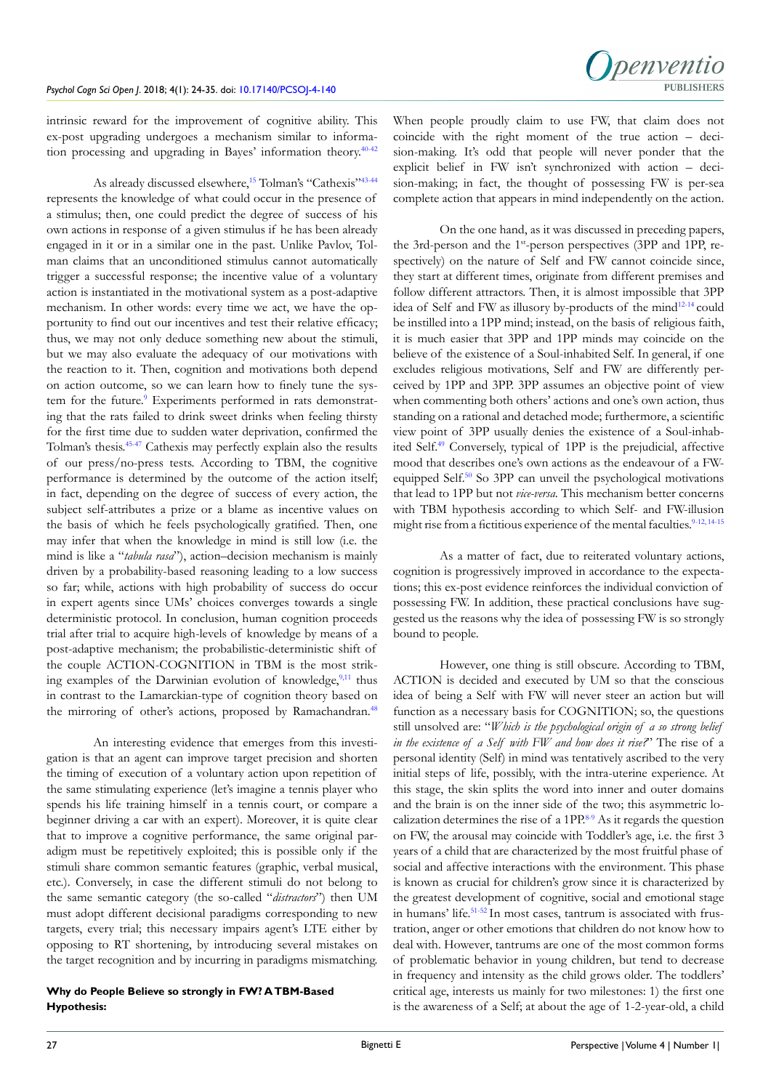

intrinsic reward for the improvement of cognitive ability. This ex-post upgrading undergoes a mechanism similar to information processing and upgrading in Bayes' information theory.[40-42](#page-10-5)

As already discussed elsewhere,<sup>15</sup> Tolman's "Cathexis"<sup>[43-44](#page-10-6)</sup> represents the knowledge of what could occur in the presence of a stimulus; then, one could predict the degree of success of his own actions in response of a given stimulus if he has been already engaged in it or in a similar one in the past. Unlike Pavlov, Tolman claims that an unconditioned stimulus cannot automatically trigger a successful response; the incentive value of a voluntary action is instantiated in the motivational system as a post-adaptive mechanism. In other words: every time we act, we have the opportunity to find out our incentives and test their relative efficacy; thus, we may not only deduce something new about the stimuli, but we may also evaluate the adequacy of our motivations with the reaction to it. Then, cognition and motivations both depend on action outcome, so we can learn how to finely tune the system for the future.<sup>9</sup> Experiments performed in rats demonstrating that the rats failed to drink sweet drinks when feeling thirsty for the first time due to sudden water deprivation, confirmed the Tolman's thesis.[45-47](#page-10-7) Cathexis may perfectly explain also the results of our press/no-press tests. According to TBM, the cognitive performance is determined by the outcome of the action itself; in fact, depending on the degree of success of every action, the subject self-attributes a prize or a blame as incentive values on the basis of which he feels psychologically gratified. Then, one may infer that when the knowledge in mind is still low (i.e. the mind is like a "*tabula rasa*"), action–decision mechanism is mainly driven by a probability-based reasoning leading to a low success so far; while, actions with high probability of success do occur in expert agents since UMs' choices converges towards a single deterministic protocol. In conclusion, human cognition proceeds trial after trial to acquire high-levels of knowledge by means of a post-adaptive mechanism; the probabilistic-deterministic shift of the couple ACTION-COGNITION in TBM is the most striking examples of the Darwinian evolution of knowledge, $9,11$  thus in contrast to the Lamarckian-type of cognition theory based on the mirroring of other's actions, proposed by Ramachandran.<sup>48</sup>

An interesting evidence that emerges from this investigation is that an agent can improve target precision and shorten the timing of execution of a voluntary action upon repetition of the same stimulating experience (let's imagine a tennis player who spends his life training himself in a tennis court, or compare a beginner driving a car with an expert). Moreover, it is quite clear that to improve a cognitive performance, the same original paradigm must be repetitively exploited; this is possible only if the stimuli share common semantic features (graphic, verbal musical, etc.). Conversely, in case the different stimuli do not belong to the same semantic category (the so-called "*distractors*") then UM must adopt different decisional paradigms corresponding to new targets, every trial; this necessary impairs agent's LTE either by opposing to RT shortening, by introducing several mistakes on the target recognition and by incurring in paradigms mismatching.

# **Why do People Believe so strongly in FW? A TBM-Based Hypothesis:**

When people proudly claim to use FW, that claim does not coincide with the right moment of the true action – decision-making. It's odd that people will never ponder that the explicit belief in FW isn't synchronized with action – decision-making; in fact, the thought of possessing FW is per-sea complete action that appears in mind independently on the action.

On the one hand, as it was discussed in preceding papers, the 3rd-person and the 1<sup>st</sup>-person perspectives (3PP and 1PP, respectively) on the nature of Self and FW cannot coincide since, they start at different times, originate from different premises and follow different attractors. Then, it is almost impossible that 3PP idea of Self and FW as illusory by-products of the mind<sup>[12-14](#page-9-9)</sup> could be instilled into a 1PP mind; instead, on the basis of religious faith, it is much easier that 3PP and 1PP minds may coincide on the believe of the existence of a Soul-inhabited Self. In general, if one excludes religious motivations, Self and FW are differently perceived by 1PP and 3PP. 3PP assumes an objective point of view when commenting both others' actions and one's own action, thus standing on a rational and detached mode; furthermore, a scientific view point of 3PP usually denies the existence of a Soul-inhabited Self[.49](#page-10-9) Conversely, typical of 1PP is the prejudicial, affective mood that describes one's own actions as the endeavour of a FWequipped Self[.50](#page-10-10) So 3PP can unveil the psychological motivations that lead to 1PP but not *vice-versa*. This mechanism better concerns with TBM hypothesis according to which Self- and FW-illusion might rise from a fictitious experience of the mental faculties.<sup>[9-12,](#page-9-8) [14-15](#page-9-3)</sup>

As a matter of fact, due to reiterated voluntary actions, cognition is progressively improved in accordance to the expectations; this ex-post evidence reinforces the individual conviction of possessing FW. In addition, these practical conclusions have suggested us the reasons why the idea of possessing FW is so strongly bound to people.

However, one thing is still obscure. According to TBM, ACTION is decided and executed by UM so that the conscious idea of being a Self with FW will never steer an action but will function as a necessary basis for COGNITION; so, the questions still unsolved are: "*Which is the psychological origin of a so strong belief in the existence of a Self with FW and how does it rise?*" The rise of a personal identity (Self) in mind was tentatively ascribed to the very initial steps of life, possibly, with the intra-uterine experience. At this stage, the skin splits the word into inner and outer domains and the brain is on the inner side of the two; this asymmetric localization determines the rise of a  $1PP<sup>8-9</sup>$  As it regards the question on FW, the arousal may coincide with Toddler's age, i.e. the first 3 years of a child that are characterized by the most fruitful phase of social and affective interactions with the environment. This phase is known as crucial for children's grow since it is characterized by the greatest development of cognitive, social and emotional stage in humans' life.<sup>51-52</sup> In most cases, tantrum is associated with frustration, anger or other emotions that children do not know how to deal with. However, tantrums are one of the most common forms of problematic behavior in young children, but tend to decrease in frequency and intensity as the child grows older. The toddlers' critical age, interests us mainly for two milestones: 1) the first one is the awareness of a Self; at about the age of 1-2-year-old, a child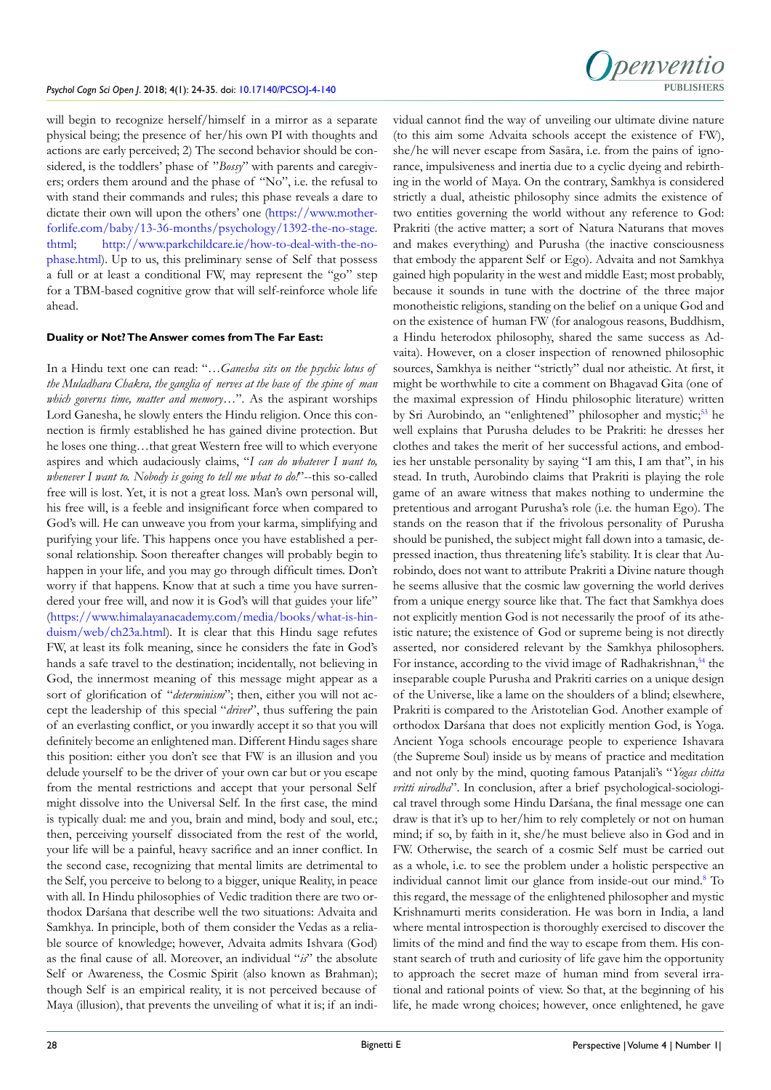will begin to recognize herself/himself in a mirror as a separate physical being; the presence of her/his own PI with thoughts and actions are early perceived; 2) The second behavior should be considered, is the toddlers' phase of "*Bossy*" with parents and caregivers; orders them around and the phase of "No", i.e. the refusal to with stand their commands and rules; this phase reveals a dare to dictate their own will upon the others' one [\(https://www.mother](https://www.motherforlife.com/baby/13-36-months/psychology/1392-the-no-stage.thtml)[forlife.com/baby/13-36-months/psychology/1392-the-no-stage.](https://www.motherforlife.com/baby/13-36-months/psychology/1392-the-no-stage.thtml) [thtml;](https://www.motherforlife.com/baby/13-36-months/psychology/1392-the-no-stage.thtml) [http://www.parkchildcare.ie/how-to-deal-with-the-no](http://www.parkchildcare.ie/how-to-deal-with-the-no-phase.html)[phase.html](http://www.parkchildcare.ie/how-to-deal-with-the-no-phase.html)). Up to us, this preliminary sense of Self that possess a full or at least a conditional FW, may represent the "go" step for a TBM-based cognitive grow that will self-reinforce whole life ahead.

#### **Duality or Not? The Answer comes from The Far East:**

In a Hindu text one can read: "*…Ganesha sits on the psychic lotus of the Muladhara Chakra, the ganglia of nerves at the base of the spine of man which governs time, matter and memory…*". As the aspirant worships Lord Ganesha, he slowly enters the Hindu religion. Once this connection is firmly established he has gained divine protection. But he loses one thing…that great Western free will to which everyone aspires and which audaciously claims, "*I can do whatever I want to, whenever I want to. Nobody is going to tell me what to do!*"--this so-called free will is lost. Yet, it is not a great loss. Man's own personal will, his free will, is a feeble and insignificant force when compared to God's will. He can unweave you from your karma, simplifying and purifying your life. This happens once you have established a personal relationship. Soon thereafter changes will probably begin to happen in your life, and you may go through difficult times. Don't worry if that happens. Know that at such a time you have surrendered your free will, and now it is God's will that guides your life" ([https://www.himalayanacademy.com/media/books/what-is-hin](https://www.himalayanacademy.com/media/books/what-is-hinduism/web/ch23a.html)[duism/web/ch23a.html](https://www.himalayanacademy.com/media/books/what-is-hinduism/web/ch23a.html)). It is clear that this Hindu sage refutes FW, at least its folk meaning, since he considers the fate in God's hands a safe travel to the destination; incidentally, not believing in God, the innermost meaning of this message might appear as a sort of glorification of "*determinism*"; then, either you will not accept the leadership of this special "*driver*", thus suffering the pain of an everlasting conflict, or you inwardly accept it so that you will definitely become an enlightened man. Different Hindu sages share this position: either you don't see that FW is an illusion and you delude yourself to be the driver of your own car but or you escape from the mental restrictions and accept that your personal Self might dissolve into the Universal Self. In the first case, the mind is typically dual: me and you, brain and mind, body and soul, etc.; then, perceiving yourself dissociated from the rest of the world, your life will be a painful, heavy sacrifice and an inner conflict. In the second case, recognizing that mental limits are detrimental to the Self, you perceive to belong to a bigger, unique Reality, in peace with all. In Hindu philosophies of Vedic tradition there are two orthodox Darśana that describe well the two situations: Advaita and Samkhya. In principle, both of them consider the Vedas as a reliable source of knowledge; however, Advaita admits Ishvara (God) as the final cause of all. Moreover, an individual "*is*" the absolute Self or Awareness, the Cosmic Spirit (also known as Brahman); though Self is an empirical reality, it is not perceived because of Maya (illusion), that prevents the unveiling of what it is; if an indi-



vidual cannot find the way of unveiling our ultimate divine nature (to this aim some Advaita schools accept the existence of FW), she/he will never escape from Sasāra, i.e. from the pains of ignorance, impulsiveness and inertia due to a cyclic dyeing and rebirthing in the world of Maya. On the contrary, Samkhya is considered strictly a dual, atheistic philosophy since admits the existence of two entities governing the world without any reference to God: Prakriti (the active matter; a sort of Natura Naturans that moves and makes everything) and Purusha (the inactive consciousness that embody the apparent Self or Ego). Advaita and not Samkhya gained high popularity in the west and middle East; most probably, because it sounds in tune with the doctrine of the three major monotheistic religions, standing on the belief on a unique God and on the existence of human FW (for analogous reasons, Buddhism, a Hindu heterodox philosophy, shared the same success as Advaita). However, on a closer inspection of renowned philosophic sources, Samkhya is neither "strictly" dual nor atheistic. At first, it might be worthwhile to cite a comment on Bhagavad Gita (one of the maximal expression of Hindu philosophic literature) written by Sri Aurobindo, an "enlightened" philosopher and mystic;<sup>53</sup> he well explains that Purusha deludes to be Prakriti: he dresses her clothes and takes the merit of her successful actions, and embodies her unstable personality by saying "I am this, I am that", in his stead. In truth, Aurobindo claims that Prakriti is playing the role game of an aware witness that makes nothing to undermine the pretentious and arrogant Purusha's role (i.e. the human Ego). The stands on the reason that if the frivolous personality of Purusha should be punished, the subject might fall down into a tamasic, depressed inaction, thus threatening life's stability. It is clear that Aurobindo, does not want to attribute Prakriti a Divine nature though he seems allusive that the cosmic law governing the world derives from a unique energy source like that. The fact that Samkhya does not explicitly mention God is not necessarily the proof of its atheistic nature; the existence of God or supreme being is not directly asserted, nor considered relevant by the Samkhya philosophers. For instance, according to the vivid image of Radhakrishnan,<sup>54</sup> the inseparable couple Purusha and Prakriti carries on a unique design of the Universe, like a lame on the shoulders of a blind; elsewhere, Prakriti is compared to the Aristotelian God. Another example of orthodox Darśana that does not explicitly mention God, is Yoga. Ancient Yoga schools encourage people to experience Ishavara (the Supreme Soul) inside us by means of practice and meditation and not only by the mind, quoting famous Patanjali's "*Yogas chitta vritti nirodha*". In conclusion, after a brief psychological-sociological travel through some Hindu Darśana, the final message one can draw is that it's up to her/him to rely completely or not on human mind; if so, by faith in it, she/he must believe also in God and in FW. Otherwise, the search of a cosmic Self must be carried out as a whole, i.e. to see the problem under a holistic perspective an individual cannot limit our glance from inside-out our mind.[8](#page-9-1) To this regard, the message of the enlightened philosopher and mystic Krishnamurti merits consideration. He was born in India, a land where mental introspection is thoroughly exercised to discover the limits of the mind and find the way to escape from them. His constant search of truth and curiosity of life gave him the opportunity to approach the secret maze of human mind from several irrational and rational points of view. So that, at the beginning of his life, he made wrong choices; however, once enlightened, he gave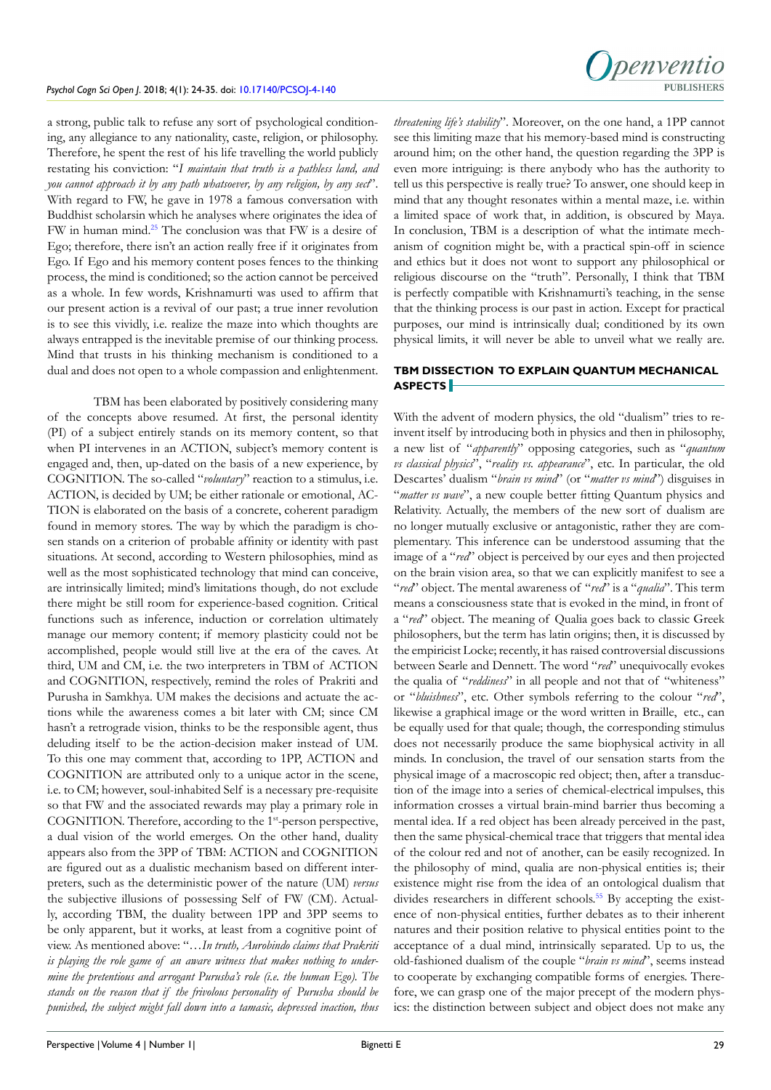a strong, public talk to refuse any sort of psychological conditioning, any allegiance to any nationality, caste, religion, or philosophy. Therefore, he spent the rest of his life travelling the world publicly restating his conviction: "*I maintain that truth is a pathless land, and you cannot approach it by any path whatsoever, by any religion, by any sect*". With regard to FW, he gave in 1978 a famous conversation with Buddhist scholarsin which he analyses where originates the idea of FW in human mind.25 The conclusion was that FW is a desire of Ego; therefore, there isn't an action really free if it originates from Ego. If Ego and his memory content poses fences to the thinking process, the mind is conditioned; so the action cannot be perceived as a whole. In few words, Krishnamurti was used to affirm that our present action is a revival of our past; a true inner revolution is to see this vividly, i.e. realize the maze into which thoughts are always entrapped is the inevitable premise of our thinking process. Mind that trusts in his thinking mechanism is conditioned to a dual and does not open to a whole compassion and enlightenment.

TBM has been elaborated by positively considering many of the concepts above resumed. At first, the personal identity (PI) of a subject entirely stands on its memory content, so that when PI intervenes in an ACTION, subject's memory content is engaged and, then, up-dated on the basis of a new experience, by COGNITION. The so-called "*voluntary*" reaction to a stimulus, i.e. ACTION, is decided by UM; be either rationale or emotional, AC-TION is elaborated on the basis of a concrete, coherent paradigm found in memory stores. The way by which the paradigm is chosen stands on a criterion of probable affinity or identity with past situations. At second, according to Western philosophies, mind as well as the most sophisticated technology that mind can conceive, are intrinsically limited; mind's limitations though, do not exclude there might be still room for experience-based cognition. Critical functions such as inference, induction or correlation ultimately manage our memory content; if memory plasticity could not be accomplished, people would still live at the era of the caves. At third, UM and CM, i.e. the two interpreters in TBM of ACTION and COGNITION, respectively, remind the roles of Prakriti and Purusha in Samkhya. UM makes the decisions and actuate the actions while the awareness comes a bit later with CM; since CM hasn't a retrograde vision, thinks to be the responsible agent, thus deluding itself to be the action-decision maker instead of UM. To this one may comment that, according to 1PP, ACTION and COGNITION are attributed only to a unique actor in the scene, i.e. to CM; however, soul-inhabited Self is a necessary pre-requisite so that FW and the associated rewards may play a primary role in COGNITION. Therefore, according to the 1<sup>st</sup>-person perspective, a dual vision of the world emerges. On the other hand, duality appears also from the 3PP of TBM: ACTION and COGNITION are figured out as a dualistic mechanism based on different interpreters, such as the deterministic power of the nature (UM) *versus* the subjective illusions of possessing Self of FW (CM). Actually, according TBM, the duality between 1PP and 3PP seems to be only apparent, but it works, at least from a cognitive point of view. As mentioned above: "*…In truth, Aurobindo claims that Prakriti is playing the role game of an aware witness that makes nothing to undermine the pretentious and arrogant Purusha's role (i.e. the human Ego). The stands on the reason that if the frivolous personality of Purusha should be punished, the subject might fall down into a tamasic, depressed inaction, thus* 

*threatening life's stability*". Moreover, on the one hand, a 1PP cannot see this limiting maze that his memory-based mind is constructing around him; on the other hand, the question regarding the 3PP is even more intriguing: is there anybody who has the authority to tell us this perspective is really true? To answer, one should keep in mind that any thought resonates within a mental maze, i.e. within a limited space of work that, in addition, is obscured by Maya. In conclusion, TBM is a description of what the intimate mechanism of cognition might be, with a practical spin-off in science and ethics but it does not wont to support any philosophical or religious discourse on the "truth". Personally, I think that TBM is perfectly compatible with Krishnamurti's teaching, in the sense that the thinking process is our past in action. Except for practical purposes, our mind is intrinsically dual; conditioned by its own physical limits, it will never be able to unveil what we really are.

# **TBM DISSECTION TO EXPLAIN QUANTUM MECHANICAL ASPECTS**

With the advent of modern physics, the old "dualism" tries to reinvent itself by introducing both in physics and then in philosophy, a new list of "*apparently*" opposing categories, such as "*quantum vs classical physics*", "*reality vs. appearance*", etc. In particular, the old Descartes' dualism "*brain vs mind*" (or "*matter vs mind*") disguises in "*matter vs wave*", a new couple better fitting Quantum physics and Relativity. Actually, the members of the new sort of dualism are no longer mutually exclusive or antagonistic, rather they are complementary. This inference can be understood assuming that the image of a "*red*" object is perceived by our eyes and then projected on the brain vision area, so that we can explicitly manifest to see a "*red*" object. The mental awareness of "*red*" is a "*qualia*". This term means a consciousness state that is evoked in the mind, in front of a "*red*" object. The meaning of Qualia goes back to classic Greek philosophers, but the term has latin origins; then, it is discussed by the empiricist Locke; recently, it has raised controversial discussions between Searle and Dennett. The word "*red*" unequivocally evokes the qualia of "*reddiness*" in all people and not that of "whiteness" or "*bluishness*", etc. Other symbols referring to the colour "*red*", likewise a graphical image or the word written in Braille, etc., can be equally used for that quale; though, the corresponding stimulus does not necessarily produce the same biophysical activity in all minds. In conclusion, the travel of our sensation starts from the physical image of a macroscopic red object; then, after a transduction of the image into a series of chemical-electrical impulses, this information crosses a virtual brain-mind barrier thus becoming a mental idea. If a red object has been already perceived in the past, then the same physical-chemical trace that triggers that mental idea of the colour red and not of another, can be easily recognized. In the philosophy of mind, qualia are non-physical entities is; their existence might rise from the idea of an ontological dualism that divides researchers in different schools.<sup>55</sup> By accepting the existence of non-physical entities, further debates as to their inherent natures and their position relative to physical entities point to the acceptance of a dual mind, intrinsically separated. Up to us, the old-fashioned dualism of the couple "*brain vs mind*", seems instead to cooperate by exchanging compatible forms of energies. Therefore, we can grasp one of the major precept of the modern physics: the distinction between subject and object does not make any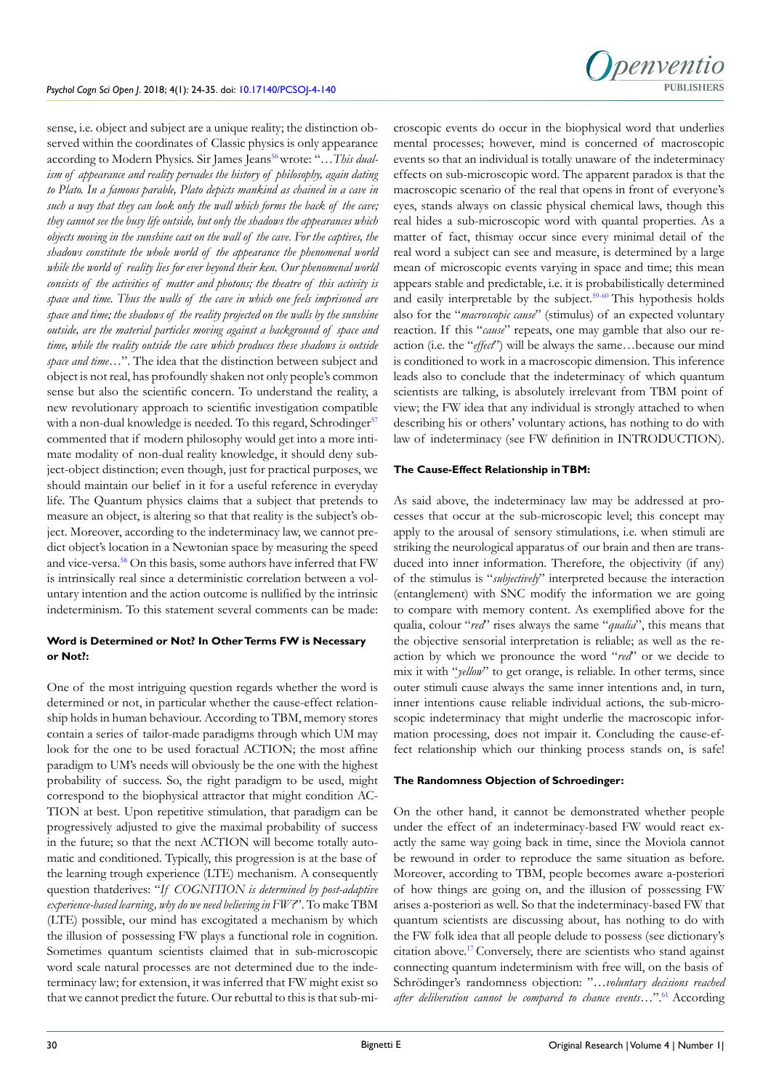Inenventio PURLISHERS

sense, i.e. object and subject are a unique reality; the distinction observed within the coordinates of Classic physics is only appearance according to Modern Physics. Sir James Jeans<sup>[56](#page-11-3)</sup> wrote: "... This dual*ism of appearance and reality pervades the history of philosophy, again dating to Plato. In a famous parable, Plato depicts mankind as chained in a cave in such a way that they can look only the wall which forms the back of the cave; they cannot see the busy life outside, but only the shadows the appearances which objects moving in the sunshine cast on the wall of the cave. For the captives, the shadows constitute the whole world of the appearance the phenomenal world*  while the world of reality lies for ever beyond their ken. Our phenomenal world *consists of the activities of matter and photons; the theatre of this activity is space and time. Thus the walls of the cave in which one feels imprisoned are space and time; the shadows of the reality projected on the walls by the sunshine outside, are the material particles moving against a background of space and time, while the reality outside the cave which produces these shadows is outside space and time…*". The idea that the distinction between subject and object is not real, has profoundly shaken not only people's common sense but also the scientific concern. To understand the reality, a new revolutionary approach to scientific investigation compatible with a non-dual knowledge is needed. To this regard, Schrodinger<sup>57</sup> commented that if modern philosophy would get into a more intimate modality of non-dual reality knowledge, it should deny subject-object distinction; even though, just for practical purposes, we should maintain our belief in it for a useful reference in everyday life. The Quantum physics claims that a subject that pretends to measure an object, is altering so that that reality is the subject's object. Moreover, according to the indeterminacy law, we cannot predict object's location in a Newtonian space by measuring the speed and vice-versa.<sup>[58](#page-11-5)</sup> On this basis, some authors have inferred that FW is intrinsically real since a deterministic correlation between a voluntary intention and the action outcome is nullified by the intrinsic indeterminism. To this statement several comments can be made:

# **Word is Determined or Not? In Other Terms FW is Necessary or Not?:**

One of the most intriguing question regards whether the word is determined or not, in particular whether the cause-effect relationship holds in human behaviour. According to TBM, memory stores contain a series of tailor-made paradigms through which UM may look for the one to be used foractual ACTION; the most affine paradigm to UM's needs will obviously be the one with the highest probability of success. So, the right paradigm to be used, might correspond to the biophysical attractor that might condition AC-TION at best. Upon repetitive stimulation, that paradigm can be progressively adjusted to give the maximal probability of success in the future; so that the next ACTION will become totally automatic and conditioned. Typically, this progression is at the base of the learning trough experience (LTE) mechanism. A consequently question thatderives: "*If COGNITION is determined by post-adaptive experience-based learning, why do we need believing in FW?*". To make TBM (LTE) possible, our mind has excogitated a mechanism by which the illusion of possessing FW plays a functional role in cognition. Sometimes quantum scientists claimed that in sub-microscopic word scale natural processes are not determined due to the indeterminacy law; for extension, it was inferred that FW might exist so that we cannot predict the future. Our rebuttal to this is that sub-microscopic events do occur in the biophysical word that underlies mental processes; however, mind is concerned of macroscopic events so that an individual is totally unaware of the indeterminacy effects on sub-microscopic word. The apparent paradox is that the macroscopic scenario of the real that opens in front of everyone's eyes, stands always on classic physical chemical laws, though this real hides a sub-microscopic word with quantal properties. As a matter of fact, thismay occur since every minimal detail of the real word a subject can see and measure, is determined by a large mean of microscopic events varying in space and time; this mean appears stable and predictable, i.e. it is probabilistically determined and easily interpretable by the subject.<sup>59-60</sup> This hypothesis holds also for the "*macroscopic cause*" (stimulus) of an expected voluntary reaction. If this "*cause*" repeats, one may gamble that also our reaction (i.e. the "*effect*") will be always the same…because our mind is conditioned to work in a macroscopic dimension. This inference leads also to conclude that the indeterminacy of which quantum scientists are talking, is absolutely irrelevant from TBM point of view; the FW idea that any individual is strongly attached to when describing his or others' voluntary actions, has nothing to do with law of indeterminacy (see FW definition in INTRODUCTION).

# **The Cause-Effect Relationship in TBM:**

As said above, the indeterminacy law may be addressed at processes that occur at the sub-microscopic level; this concept may apply to the arousal of sensory stimulations, i.e. when stimuli are striking the neurological apparatus of our brain and then are transduced into inner information. Therefore, the objectivity (if any) of the stimulus is "*subjectively*" interpreted because the interaction (entanglement) with SNC modify the information we are going to compare with memory content. As exemplified above for the qualia, colour "*red*" rises always the same "*qualia*", this means that the objective sensorial interpretation is reliable; as well as the reaction by which we pronounce the word "*red*" or we decide to mix it with "*yellow*" to get orange, is reliable. In other terms, since outer stimuli cause always the same inner intentions and, in turn, inner intentions cause reliable individual actions, the sub-microscopic indeterminacy that might underlie the macroscopic information processing, does not impair it. Concluding the cause-effect relationship which our thinking process stands on, is safe!

#### **The Randomness Objection of Schroedinger:**

On the other hand, it cannot be demonstrated whether people under the effect of an indeterminacy-based FW would react exactly the same way going back in time, since the Moviola cannot be rewound in order to reproduce the same situation as before. Moreover, according to TBM, people becomes aware a-posteriori of how things are going on, and the illusion of possessing FW arises a-posteriori as well. So that the indeterminacy-based FW that quantum scientists are discussing about, has nothing to do with the FW folk idea that all people delude to possess (see dictionary's citation above[.17](#page-9-6) Conversely, there are scientists who stand against connecting quantum indeterminism with free will, on the basis of Schrödinger's randomness objection: "*…voluntary decisions reached after deliberation cannot be compared to chance events…*"[.61](#page-11-7) According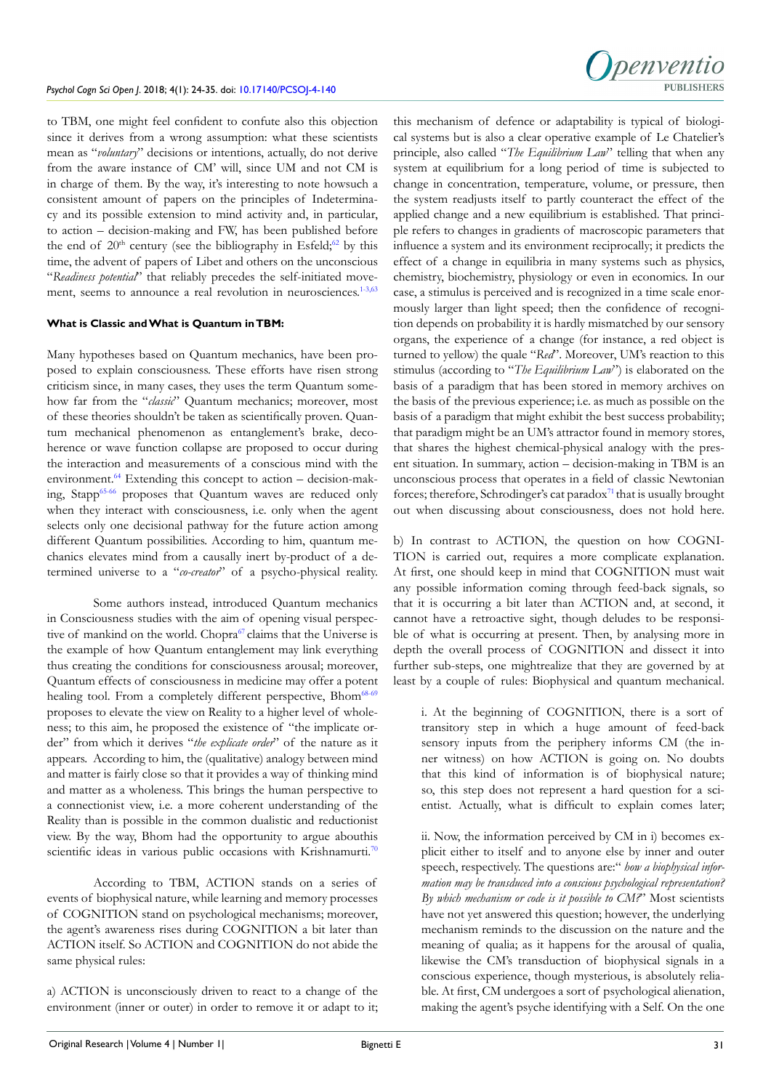to TBM, one might feel confident to confute also this objection since it derives from a wrong assumption: what these scientists mean as "*voluntary*" decisions or intentions, actually, do not derive from the aware instance of CM' will, since UM and not CM is in charge of them. By the way, it's interesting to note howsuch a consistent amount of papers on the principles of Indeterminacy and its possible extension to mind activity and, in particular, to action – decision-making and FW, has been published before the end of  $20<sup>th</sup>$  century (see the bibliography in Esfeld;<sup>62</sup> by this time, the advent of papers of Libet and others on the unconscious "*Readiness potential*" that reliably precedes the self-initiated move-ment, seems to announce a real revolution in neurosciences.<sup>[1-3,](#page-9-0)[63](#page-11-9)</sup>

#### **What is Classic and What is Quantum in TBM:**

Many hypotheses based on Quantum mechanics, have been proposed to explain consciousness. These efforts have risen strong criticism since, in many cases, they uses the term Quantum somehow far from the "*classic*" Quantum mechanics; moreover, most of these theories shouldn't be taken as scientifically proven. Quantum mechanical phenomenon as entanglement's brake, decoherence or wave function collapse are proposed to occur during the interaction and measurements of a conscious mind with the environment. $64$  Extending this concept to action – decision-making, Stapp<sup>65-66</sup> proposes that Quantum waves are reduced only when they interact with consciousness, i.e. only when the agent selects only one decisional pathway for the future action among different Quantum possibilities. According to him, quantum mechanics elevates mind from a causally inert by-product of a determined universe to a "*co-creator*" of a psycho-physical reality.

Some authors instead, introduced Quantum mechanics in Consciousness studies with the aim of opening visual perspec-tive of mankind on the world. Chopra<sup>[67](#page-11-11)</sup> claims that the Universe is the example of how Quantum entanglement may link everything thus creating the conditions for consciousness arousal; moreover, Quantum effects of consciousness in medicine may offer a potent healing tool. From a completely different perspective, Bhom<sup>68-69</sup> proposes to elevate the view on Reality to a higher level of wholeness; to this aim, he proposed the existence of "the implicate order" from which it derives "*the explicate order*" of the nature as it appears. According to him, the (qualitative) analogy between mind and matter is fairly close so that it provides a way of thinking mind and matter as a wholeness. This brings the human perspective to a connectionist view, i.e. a more coherent understanding of the Reality than is possible in the common dualistic and reductionist view. By the way, Bhom had the opportunity to argue abouthis scientific ideas in various public occasions with Krishnamurti.<sup>[70](#page-11-13)</sup>

According to TBM, ACTION stands on a series of events of biophysical nature, while learning and memory processes of COGNITION stand on psychological mechanisms; moreover, the agent's awareness rises during COGNITION a bit later than ACTION itself. So ACTION and COGNITION do not abide the same physical rules:

a) ACTION is unconsciously driven to react to a change of the environment (inner or outer) in order to remove it or adapt to it;



this mechanism of defence or adaptability is typical of biological systems but is also a clear operative example of Le Chatelier's principle, also called "*The Equilibrium Law*" telling that when any system at equilibrium for a long period of time is subjected to change in concentration, temperature, volume, or pressure, then the system readjusts itself to partly counteract the effect of the applied change and a new equilibrium is established. That principle refers to changes in gradients of macroscopic parameters that influence a system and its environment reciprocally; it predicts the effect of a change in equilibria in many systems such as physics, chemistry, biochemistry, physiology or even in economics. In our case, a stimulus is perceived and is recognized in a time scale enormously larger than light speed; then the confidence of recognition depends on probability it is hardly mismatched by our sensory organs, the experience of a change (for instance, a red object is turned to yellow) the quale "*Red*". Moreover, UM's reaction to this stimulus (according to "*The Equilibrium Law*") is elaborated on the basis of a paradigm that has been stored in memory archives on the basis of the previous experience; i.e. as much as possible on the basis of a paradigm that might exhibit the best success probability; that paradigm might be an UM's attractor found in memory stores, that shares the highest chemical-physical analogy with the present situation. In summary, action – decision-making in TBM is an unconscious process that operates in a field of classic Newtonian forces; therefore, Schrodinger's cat paradox $^{71}$  that is usually brought out when discussing about consciousness, does not hold here.

b) In contrast to ACTION, the question on how COGNI-TION is carried out, requires a more complicate explanation. At first, one should keep in mind that COGNITION must wait any possible information coming through feed-back signals, so that it is occurring a bit later than ACTION and, at second, it cannot have a retroactive sight, though deludes to be responsible of what is occurring at present. Then, by analysing more in depth the overall process of COGNITION and dissect it into further sub-steps, one mightrealize that they are governed by at least by a couple of rules: Biophysical and quantum mechanical.

i. At the beginning of COGNITION, there is a sort of transitory step in which a huge amount of feed-back sensory inputs from the periphery informs CM (the inner witness) on how ACTION is going on. No doubts that this kind of information is of biophysical nature; so, this step does not represent a hard question for a scientist. Actually, what is difficult to explain comes later;

ii. Now, the information perceived by CM in i) becomes explicit either to itself and to anyone else by inner and outer speech, respectively. The questions are:" *how a biophysical information may be transduced into a conscious psychological representation? By which mechanism or code is it possible to CM?*" Most scientists have not yet answered this question; however, the underlying mechanism reminds to the discussion on the nature and the meaning of qualia; as it happens for the arousal of qualia, likewise the CM's transduction of biophysical signals in a conscious experience, though mysterious, is absolutely reliable. At first, CM undergoes a sort of psychological alienation, making the agent's psyche identifying with a Self. On the one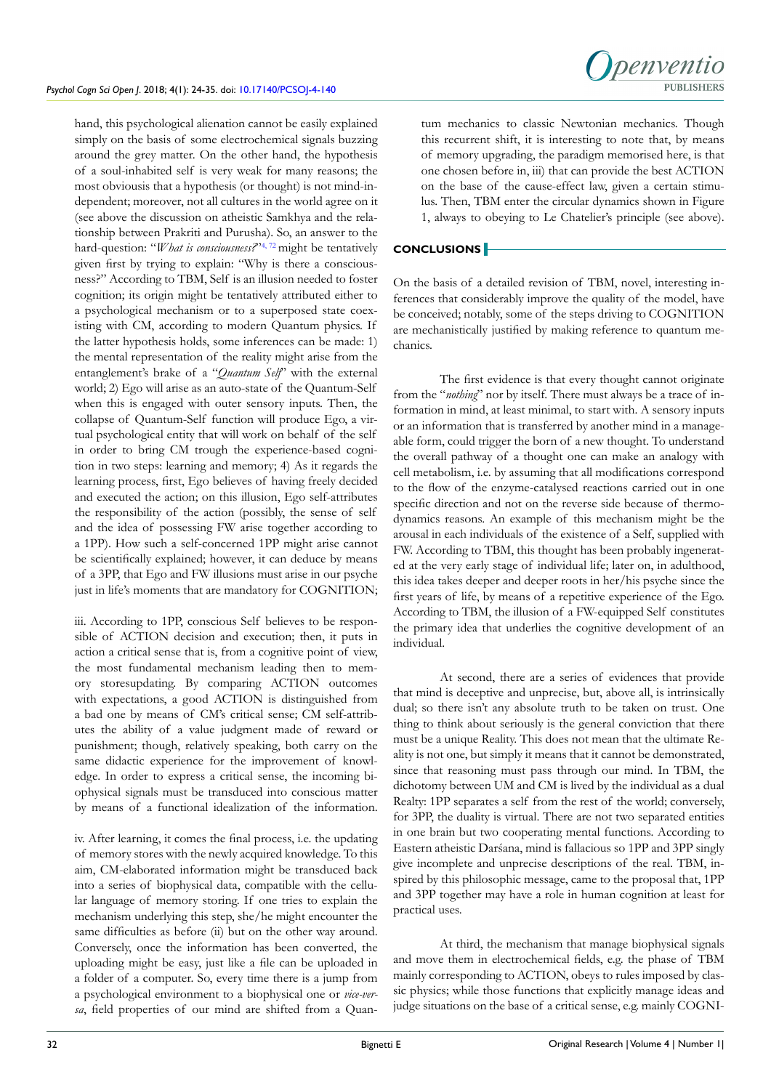Inenventic PURLISHERS

hand, this psychological alienation cannot be easily explained simply on the basis of some electrochemical signals buzzing around the grey matter. On the other hand, the hypothesis of a soul-inhabited self is very weak for many reasons; the most obviousis that a hypothesis (or thought) is not mind-independent; moreover, not all cultures in the world agree on it (see above the discussion on atheistic Samkhya and the relationship between Prakriti and Purusha). So, an answer to the hard-question: "*What is consciousness?*"<sup>4, [72](#page-11-15)</sup> might be tentatively given first by trying to explain: "Why is there a consciousness?" According to TBM, Self is an illusion needed to foster cognition; its origin might be tentatively attributed either to a psychological mechanism or to a superposed state coexisting with CM, according to modern Quantum physics. If the latter hypothesis holds, some inferences can be made: 1) the mental representation of the reality might arise from the entanglement's brake of a "*Quantum Self*" with the external world; 2) Ego will arise as an auto-state of the Quantum-Self when this is engaged with outer sensory inputs. Then, the collapse of Quantum-Self function will produce Ego, a virtual psychological entity that will work on behalf of the self in order to bring CM trough the experience-based cognition in two steps: learning and memory; 4) As it regards the learning process, first, Ego believes of having freely decided and executed the action; on this illusion, Ego self-attributes the responsibility of the action (possibly, the sense of self and the idea of possessing FW arise together according to a 1PP). How such a self-concerned 1PP might arise cannot be scientifically explained; however, it can deduce by means of a 3PP, that Ego and FW illusions must arise in our psyche just in life's moments that are mandatory for COGNITION;

iii. According to 1PP, conscious Self believes to be responsible of ACTION decision and execution; then, it puts in action a critical sense that is, from a cognitive point of view, the most fundamental mechanism leading then to memory storesupdating. By comparing ACTION outcomes with expectations, a good ACTION is distinguished from a bad one by means of CM's critical sense; CM self-attributes the ability of a value judgment made of reward or punishment; though, relatively speaking, both carry on the same didactic experience for the improvement of knowledge. In order to express a critical sense, the incoming biophysical signals must be transduced into conscious matter by means of a functional idealization of the information.

iv. After learning, it comes the final process, i.e. the updating of memory stores with the newly acquired knowledge. To this aim, CM-elaborated information might be transduced back into a series of biophysical data, compatible with the cellular language of memory storing. If one tries to explain the mechanism underlying this step, she/he might encounter the same difficulties as before (ii) but on the other way around. Conversely, once the information has been converted, the uploading might be easy, just like a file can be uploaded in a folder of a computer. So, every time there is a jump from a psychological environment to a biophysical one or *vice-versa*, field properties of our mind are shifted from a Quan-

tum mechanics to classic Newtonian mechanics. Though this recurrent shift, it is interesting to note that, by means of memory upgrading, the paradigm memorised here, is that one chosen before in, iii) that can provide the best ACTION on the base of the cause-effect law, given a certain stimulus. Then, TBM enter the circular dynamics shown in Figure 1, always to obeying to Le Chatelier's principle (see above).

# **CONCLUSIONS**

On the basis of a detailed revision of TBM, novel, interesting inferences that considerably improve the quality of the model, have be conceived; notably, some of the steps driving to COGNITION are mechanistically justified by making reference to quantum mechanics.

The first evidence is that every thought cannot originate from the "*nothing*" nor by itself. There must always be a trace of information in mind, at least minimal, to start with. A sensory inputs or an information that is transferred by another mind in a manageable form, could trigger the born of a new thought. To understand the overall pathway of a thought one can make an analogy with cell metabolism, i.e. by assuming that all modifications correspond to the flow of the enzyme-catalysed reactions carried out in one specific direction and not on the reverse side because of thermodynamics reasons. An example of this mechanism might be the arousal in each individuals of the existence of a Self, supplied with FW. According to TBM, this thought has been probably ingenerated at the very early stage of individual life; later on, in adulthood, this idea takes deeper and deeper roots in her/his psyche since the first years of life, by means of a repetitive experience of the Ego. According to TBM, the illusion of a FW-equipped Self constitutes the primary idea that underlies the cognitive development of an individual.

At second, there are a series of evidences that provide that mind is deceptive and unprecise, but, above all, is intrinsically dual; so there isn't any absolute truth to be taken on trust. One thing to think about seriously is the general conviction that there must be a unique Reality. This does not mean that the ultimate Reality is not one, but simply it means that it cannot be demonstrated, since that reasoning must pass through our mind. In TBM, the dichotomy between UM and CM is lived by the individual as a dual Realty: 1PP separates a self from the rest of the world; conversely, for 3PP, the duality is virtual. There are not two separated entities in one brain but two cooperating mental functions. According to Eastern atheistic Darśana, mind is fallacious so 1PP and 3PP singly give incomplete and unprecise descriptions of the real. TBM, inspired by this philosophic message, came to the proposal that, 1PP and 3PP together may have a role in human cognition at least for practical uses.

At third, the mechanism that manage biophysical signals and move them in electrochemical fields, e.g. the phase of TBM mainly corresponding to ACTION, obeys to rules imposed by classic physics; while those functions that explicitly manage ideas and judge situations on the base of a critical sense, e.g. mainly COGNI-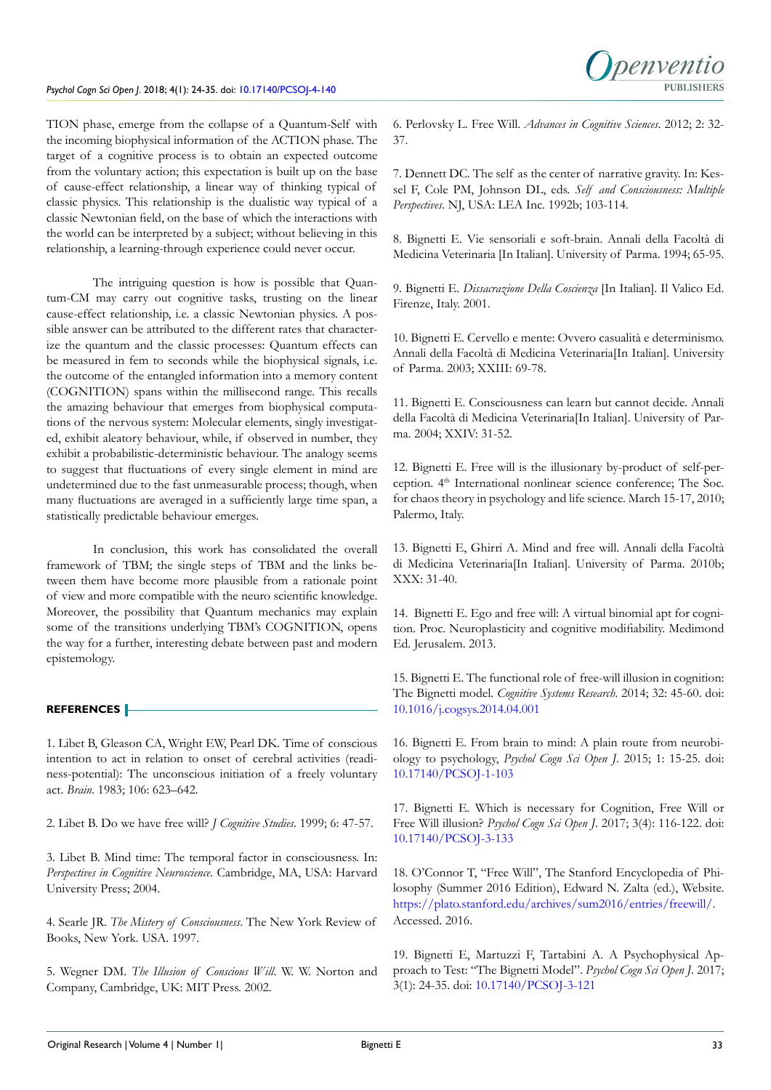

TION phase, emerge from the collapse of a Quantum-Self with the incoming biophysical information of the ACTION phase. The target of a cognitive process is to obtain an expected outcome from the voluntary action; this expectation is built up on the base of cause-effect relationship, a linear way of thinking typical of classic physics. This relationship is the dualistic way typical of a classic Newtonian field, on the base of which the interactions with the world can be interpreted by a subject; without believing in this relationship, a learning-through experience could never occur.

The intriguing question is how is possible that Quantum-CM may carry out cognitive tasks, trusting on the linear cause-effect relationship, i.e. a classic Newtonian physics. A possible answer can be attributed to the different rates that characterize the quantum and the classic processes: Quantum effects can be measured in fem to seconds while the biophysical signals, i.e. the outcome of the entangled information into a memory content (COGNITION) spans within the millisecond range. This recalls the amazing behaviour that emerges from biophysical computations of the nervous system: Molecular elements, singly investigated, exhibit aleatory behaviour, while, if observed in number, they exhibit a probabilistic-deterministic behaviour. The analogy seems to suggest that fluctuations of every single element in mind are undetermined due to the fast unmeasurable process; though, when many fluctuations are averaged in a sufficiently large time span, a statistically predictable behaviour emerges.

In conclusion, this work has consolidated the overall framework of TBM; the single steps of TBM and the links between them have become more plausible from a rationale point of view and more compatible with the neuro scientific knowledge. Moreover, the possibility that Quantum mechanics may explain some of the transitions underlying TBM's COGNITION, opens the way for a further, interesting debate between past and modern epistemology.

# **REFERENCES**

<span id="page-9-0"></span>1. Libet B, Gleason CA, Wright EW, Pearl DK. Time of conscious intention to act in relation to onset of cerebral activities (readiness-potential): The unconscious initiation of a freely voluntary act. *Brain*. 1983; 106: 623–642.

2. Libet B. Do we have free will? *J Cognitive Studies*. 1999; 6: 47-57.

3. Libet B. Mind time: The temporal factor in consciousness. In: *Perspectives in Cognitive Neuroscience*. Cambridge, MA, USA: Harvard University Press; 2004.

<span id="page-9-10"></span>4. Searle JR. *The Mistery of Consciousness*. The New York Review of Books, New York. USA. 1997.

5. Wegner DM. *The Illusion of Conscious Will*. W. W. Norton and Company, Cambridge, UK: MIT Press. 2002.

6. Perlovsky L. Free Will. *Advances in Cognitive Sciences*. 2012; 2: 32- 37.

7. Dennett DC. The self as the center of narrative gravity. In: Kessel F, Cole PM, Johnson DL, eds. *Self and Consciousness: Multiple Perspectives*. NJ, USA: LEA Inc. 1992b; 103-114.

<span id="page-9-1"></span>8. Bignetti E. Vie sensoriali e soft-brain. Annali della Facoltà di Medicina Veterinaria [In Italian]. University of Parma. 1994; 65-95.

<span id="page-9-8"></span>9. Bignetti E. *Dissacrazione Della Coscienza* [In Italian]. Il Valico Ed. Firenze, Italy. 2001.

10. Bignetti E. Cervello e mente: Ovvero casualità e determinismo. Annali della Facoltà di Medicina Veterinaria[In Italian]. University of Parma. 2003; XXIII: 69-78.

11. Bignetti E. Consciousness can learn but cannot decide. Annali della Facoltà di Medicina Veterinaria[In Italian]. University of Parma. 2004; XXIV: 31-52.

<span id="page-9-9"></span>12. Bignetti E. Free will is the illusionary by-product of self-perception. 4<sup>th</sup> International nonlinear science conference; The Soc. for chaos theory in psychology and life science. March 15-17, 2010; Palermo, Italy.

13. Bignetti E, Ghirri A. Mind and free will. Annali della Facoltà di Medicina Veterinaria[In Italian]. University of Parma. 2010b; XXX: 31-40.

<span id="page-9-3"></span>14. Bignetti E. Ego and free will: A virtual binomial apt for cognition. Proc. Neuroplasticity and cognitive modifiability. Medimond Ed. Jerusalem. 2013.

<span id="page-9-7"></span>15. Bignetti E. The functional role of free-will illusion in cognition: The Bignetti model. *Cognitive Systems Research*. 2014; 32: 45-60. doi: [10.1016/j.cogsys.2014.04.001](https://doi.org/10.1016/j.cogsys.2014.04.001)

<span id="page-9-2"></span>16. Bignetti E. From brain to mind: A plain route from neurobiology to psychology, *Psychol Cogn Sci Open J*. 2015; 1: 15-25. doi: [10.17140/PCSOJ-1-103](http://dx.doi.org/10.17140/PCSOJ-1-103)

<span id="page-9-6"></span>17. Bignetti E. Which is necessary for Cognition, Free Will or Free Will illusion? *Psychol Cogn Sci Open J*. 2017; 3(4): 116-122. doi: [10.17140/PCSOJ-3-133](https://dx.doi.org/10.17140/PCSOJ-3-133)

<span id="page-9-4"></span>18. O'Connor T, "Free Will", The Stanford Encyclopedia of Philosophy (Summer 2016 Edition), Edward N. Zalta (ed.), Website. [https://plato.stanford.edu/archives/sum2016/entries/freewill/.](https://plato.stanford.edu/archives/sum2016/entries/freewill/%0D) Accessed. 2016.

<span id="page-9-5"></span>19. Bignetti E, Martuzzi F, Tartabini A. A Psychophysical Approach to Test: "The Bignetti Model". *Psychol Cogn Sci Open J*. 2017; 3(1): 24-35. doi: [10.17140/PCSOJ-3-121](http://dx.doi.org/10.17140/PCSOJ-3-121)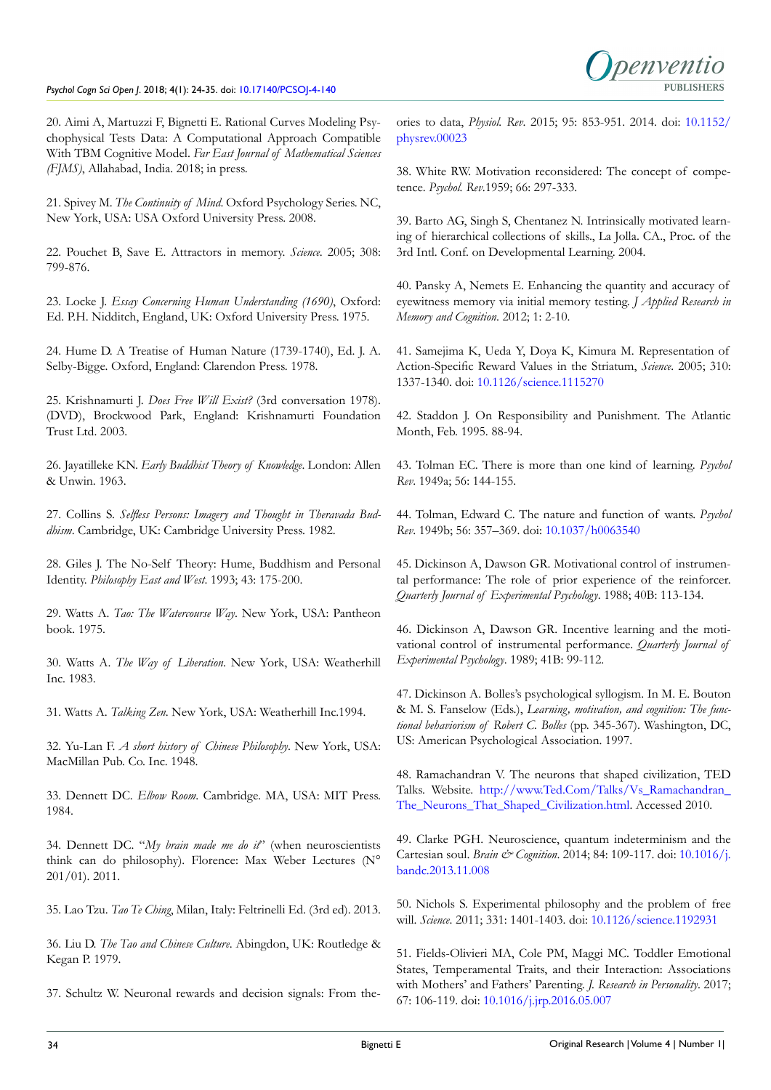

20. Aimi A, Martuzzi F, Bignetti E. Rational Curves Modeling Psychophysical Tests Data: A Computational Approach Compatible With TBM Cognitive Model. *Far East Journal of Mathematical Sciences (FJMS)*, Allahabad, India. 2018; in press.

<span id="page-10-0"></span>21. Spivey M. *The Continuity of Mind*. Oxford Psychology Series. NC, New York, USA: USA Oxford University Press. 2008.

<span id="page-10-1"></span>22. Pouchet B, Save E. Attractors in memory. *Science*. 2005; 308: 799-876.

<span id="page-10-2"></span>23. Locke J. *Essay Concerning Human Understanding (1690)*, Oxford: Ed. P.H. Nidditch, England, UK: Oxford University Press. 1975.

24. Hume D. A Treatise of Human Nature (1739-1740), Ed. J. A. Selby-Bigge. Oxford, England: Clarendon Press. 1978.

25. Krishnamurti J. *Does Free Will Exist?* (3rd conversation 1978). (DVD), Brockwood Park, England: Krishnamurti Foundation Trust Ltd. 2003.

26. Jayatilleke KN. *Early Buddhist Theory of Knowledge*. London: Allen & Unwin. 1963.

27. Collins S. *Selfless Persons: Imagery and Thought in Theravada Buddhism*. Cambridge, UK: Cambridge University Press. 1982.

28. Giles J. The No-Self Theory: Hume, Buddhism and Personal Identity. *Philosophy East and West*. 1993; 43: 175-200.

29. Watts A. *Tao: The Watercourse Way*. New York, USA: Pantheon book. 1975.

30. Watts A. *The Way of Liberation*. New York, USA: Weatherhill Inc. 1983.

31. Watts A. *Talking Zen*. New York, USA: Weatherhill Inc.1994.

32. Yu-Lan F. *A short history of Chinese Philosophy*. New York, USA: MacMillan Pub. Co. Inc. 1948.

33. Dennett DC. *Elbow Room*. Cambridge. MA, USA: MIT Press. 1984.

34. Dennett DC. "*My brain made me do it*" (when neuroscientists think can do philosophy). Florence: Max Weber Lectures (N° 201/01). 2011.

35. Lao Tzu. *Tao Te Ching*, Milan, Italy: Feltrinelli Ed. (3rd ed). 2013.

36. Liu D. *The Tao and Chinese Culture*. Abingdon, UK: Routledge & Kegan P. 1979.

<span id="page-10-3"></span>37. Schultz W. Neuronal rewards and decision signals: From the-

ories to data, *Physiol. Rev*. 2015; 95: 853-951. 2014. doi: [10.1152/](https://doi.org/10.1152/physrev.00023) [physrev.00023](https://doi.org/10.1152/physrev.00023)

<span id="page-10-4"></span>38. White RW. Motivation reconsidered: The concept of competence. *Psychol. Rev*.1959; 66: 297-333.

39. Barto AG, Singh S, Chentanez N. Intrinsically motivated learning of hierarchical collections of skills., La Jolla. CA., Proc. of the 3rd Intl. Conf. on Developmental Learning. 2004.

<span id="page-10-5"></span>40. Pansky A, Nemets E. Enhancing the quantity and accuracy of eyewitness memory via initial memory testing. *J Applied Research in Memory and Cognition*. 2012; 1: 2-10.

41. Samejima K, Ueda Y, Doya K, Kimura M. Representation of Action-Specific Reward Values in the Striatum, *Science*. 2005; 310: 1337-1340. doi: [10.1126/science.1115270](https://doi.org/10.1126/science.1115270)

42. Staddon J. On Responsibility and Punishment. The Atlantic Month, Feb. 1995. 88-94.

<span id="page-10-6"></span>43. Tolman EC. There is more than one kind of learning. *Psychol Rev*. 1949a; 56: 144-155.

44. Tolman, Edward C. The nature and function of wants. *Psychol Rev*. 1949b; 56: 357–369. doi: [10.1037/h0063540](https://doi.org/10.1037/h0063540)

<span id="page-10-7"></span>45. Dickinson A, Dawson GR. Motivational control of instrumental performance: The role of prior experience of the reinforcer. *Quarterly Journal of Experimental Psychology*. 1988; 40B: 113-134.

46. Dickinson A, Dawson GR. Incentive learning and the motivational control of instrumental performance. *Quarterly Journal of Experimental Psychology*. 1989; 41B: 99-112.

47. Dickinson A. Bolles's psychological syllogism. In M. E. Bouton & M. S. Fanselow (Eds.), *Learning, motivation, and cognition: The functional behaviorism of Robert C. Bolles* (pp. 345-367). Washington, DC, US: American Psychological Association. 1997.

<span id="page-10-8"></span>48. Ramachandran V. The neurons that shaped civilization, TED Talks. Website. [http://www.Ted.Com/Talks/Vs\\_Ramachandran\\_](http://www.Ted.Com/Talks/Vs_Ramachandran_The_Neurons_That_Shaped_Civilization.html) [The\\_Neurons\\_That\\_Shaped\\_Civilization.html](http://www.Ted.Com/Talks/Vs_Ramachandran_The_Neurons_That_Shaped_Civilization.html). Accessed 2010.

<span id="page-10-9"></span>49. Clarke PGH. Neuroscience, quantum indeterminism and the Cartesian soul. *Brain & Cognition*. 2014; 84: 109-117. doi: [10.1016/j.](https://doi.org/10.1016/j.bandc.2013.11.008) [bandc.2013.11.008](https://doi.org/10.1016/j.bandc.2013.11.008)

<span id="page-10-10"></span>50. Nichols S. Experimental philosophy and the problem of free will. *Science*. 2011; 331: 1401-1403. doi: [10.1126/science.1192931](https://doi.org/10.1126/science.1192931)

<span id="page-10-11"></span>51. Fields-Olivieri MA, Cole PM, Maggi MC. Toddler Emotional States, Temperamental Traits, and their Interaction: Associations with Mothers' and Fathers' Parenting. *J. Research in Personality*. 2017; 67: 106-119. doi: [10.1016/j.jrp.2016.05.007](https://doi.org/10.1016/j.jrp.2016.05.007)